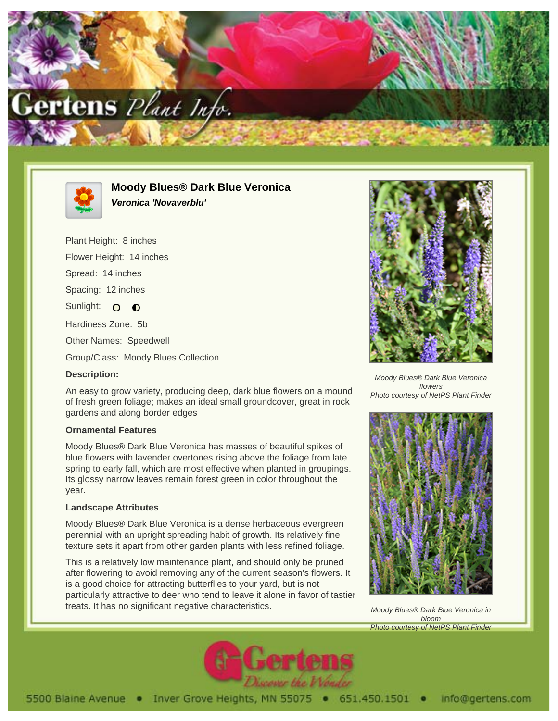



**Moody Blues® Dark Blue Veronica Veronica 'Novaverblu'**

Plant Height: 8 inches Flower Height: 14 inches Spread: 14 inches Spacing: 12 inches Sunlight: O **O** Hardiness Zone: 5b Other Names: Speedwell Group/Class: Moody Blues Collection

## **Description:**

An easy to grow variety, producing deep, dark blue flowers on a mound of fresh green foliage; makes an ideal small groundcover, great in rock gardens and along border edges

## **Ornamental Features**

Moody Blues® Dark Blue Veronica has masses of beautiful spikes of blue flowers with lavender overtones rising above the foliage from late spring to early fall, which are most effective when planted in groupings. Its glossy narrow leaves remain forest green in color throughout the year.

## **Landscape Attributes**

Moody Blues® Dark Blue Veronica is a dense herbaceous evergreen perennial with an upright spreading habit of growth. Its relatively fine texture sets it apart from other garden plants with less refined foliage.

This is a relatively low maintenance plant, and should only be pruned after flowering to avoid removing any of the current season's flowers. It is a good choice for attracting butterflies to your yard, but is not particularly attractive to deer who tend to leave it alone in favor of tastier treats. It has no significant negative characteristics.



Moody Blues® Dark Blue Veronica flowers Photo courtesy of NetPS Plant Finder



Moody Blues® Dark Blue Veronica in bloom Photo courtesy of NetPS Plant Finder